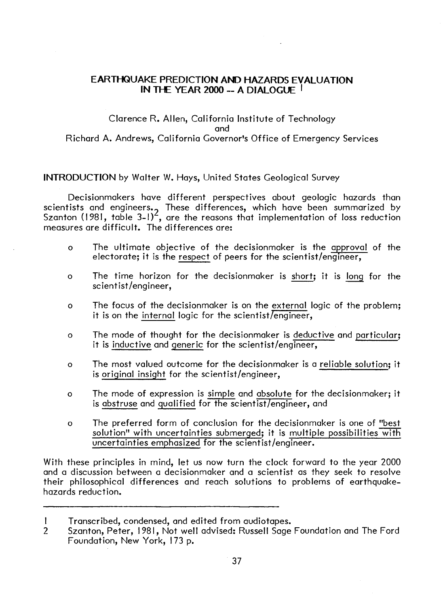## **EARTl-IQUAKE PREDICTION AND HAZARDS EVALUATION IN TI-E YEAR 2000 -- A DIALOGUE** I

## Clarence R. Allen, California Institute of Technology and Richard A. Andrews, California Governor's Office of Emergency Services

## **INTRODUCTION** by Walter W. Hays, United States Geological Survey

Decisionmakers have different perspectives about geologic hazards than scientists and engineers., These differences, which have been summarized by<br>Szanton (1981, table 3–1)<sup>2</sup>, are the reasons that implementation of loss reduction measures are difficult. The differences are:

- o The ultimate objective of the decisionmaker is the approval of the electorate; it is the respect of peers for the scientist/engineer,
- o The time horizon for the decisionmaker is short; it is long for the scientist /engineer,
- o The focus of the decisionmaker is on the external logic of the problem; it is on the internal logic for the scientist/engineer,
- o The mode of thought for the decisionmaker is deductive and particular; it is inductive and generic for the scientist/engineer,
- o The most valued outcome for the decisionmaker is a reliable solution; it is original insight for the scientist/engineer,
- o The mode of expression is simple and absolute for the decisionmaker; it is abstruse and qualified for the scientist/engineer, and
- o The preferred form of conclusion for the decisionmaker is one of "best solution" with uncertainties submerged; it is multiple possibilities with uncertainties emphasized for the scientist/engineer.

With these principles in mind, let us now turn the clock forward to the year 2000 and a discussion between a decisionmaker and a scientist as they seek to resolve their philosophical differences and reach solutions to problems of earthquakehazards reduction.

I Transcribed, condensed, and edited from audiotapes.

<sup>2</sup> Szanton, Peter, 1981, Not well advised: Russell Sage Foundation and The Ford Foundation, New York, 173 p.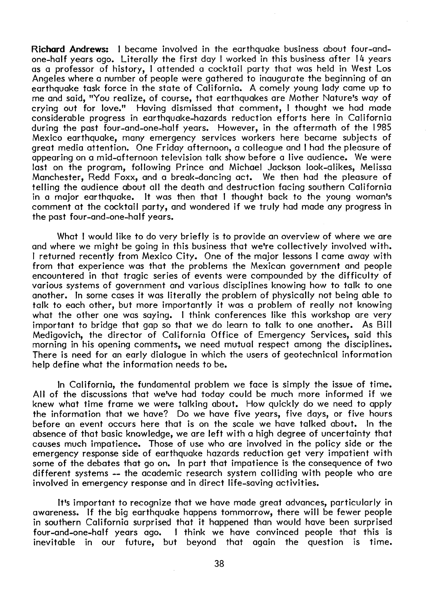**Richard Andrews:** I became involved in the earthquake business about four-andone-half years ago. Literally the first day I worked in this business after 14 years as a professor of history, I attended a cocktail party that was held in West Los Angeles where a number of people were gathered to inaugurate the beginning of an earthquake task force in the state of California. A comely young lady came up to me and said, "You realize, of course, that earthquakes are Mother Nature's way of crying out for love." Having dismissed that comment, I thought we had made considerable progress in earthquake-hazards reduction efforts here in California during the past four-and-one-half years. However, in the aftermath of the 1985 Mexico earthquake, many emergency services workers here became subjects of great media attention. One Friday afternoon, a colleague and I had the pleasure of appearing on a mid-afternoon television talk show before a live audience. We were last on the program, following Prince and Michael Jackson look-alikes, Melissa Manchester, Redd Foxx, and a break-dancing act. We then had the pleasure of telling the audience about all the death and destruction facing southern California in a major earthquake. It was then that I thought back to the young woman's comment at the cocktail party, and wondered if we truly had made any progress in the past four-and-one-half years.

What I would like to do very briefly is to provide an overview of where we are and where we might be going in this business that we're collectively involved with. I returned recently from Mexico City. One of the major lessons I came away with from that experience was that the problems the Mexican government and people encountered in that tragic series of events were compounded by the difficulty of various systems of government and various disciplines knowing how to talk to one another. In some cases it was literally the problem of physically not being able to talk to each other, but more importantly it was a problem of really not knowing what the other one was saying. I think conferences like this workshop are very important to bridge that gap so that we do learn to talk to one another. As Bill Medigovich, the director of California Office of Emergency Services, said this morning in his opening comments, we need mutual respect among the disciplines. There is need for an early dialogue in which the users of geotechnical information help define what the information needs to be.

In California, the fundamental problem we face is simply the issue of time. All of the discussions that we've had today could be much more informed if we knew what time frame we were talking about. How quickly do we need to apply the information that we have? Do we have five years, five days, or five hours<br>before an event occurs here that is on the scale we have talked about. In the before an event occurs here that is on the scale we have talked about. absence of that basic knowledge, we are left with a high degree of uncertainty that causes much impatience. Those of use who are involved in the policy side or the emergency response side of earthquake hazards reduction get very impatient with some of the debates that go on. In part that impatience is the consequence of two different systems -- the academic research system colliding with people who are involved in emergency response and in direct life-saving activities.

It's important to recognize that we have made great advances, particularly in awareness. If the big earthquake happens tommorrow, there will be fewer people in southern California surprised that it happened than would have been surprised four-and-one-half years ago. I think we have convinced people that this is inevitable in our future, but beyond that again the question is time.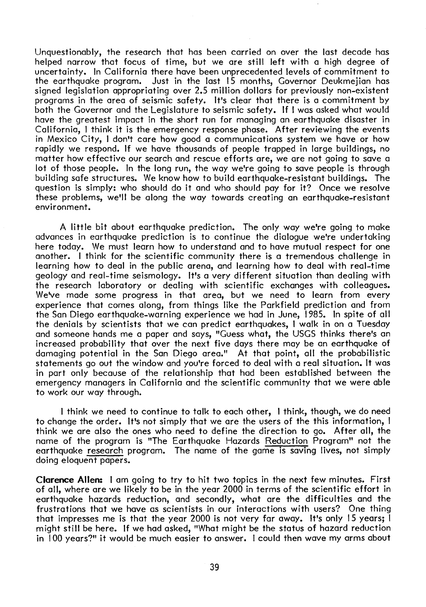Unquestionably, the research that has been carried on over the last decade has helped narrow that focus of time, but we are still left with a high degree of uncertainty. In California there have been unprecedented levels of commitment to the earthquake program. Just in the last 15 months, Governor Deukmejian has signed legislation appropriating over 2.5 million dollars for previously non-existent programs in the area of seismic safety. It's clear that there is a commitment by both the Governor and the Legislature to seismic safety. If I was asked what would have the greatest impact in the short run for managing an earthquake disaster in California, I think it is the emergency response phase. After reviewing the events in Mexico City, I don't care how good a communications system we have or how rapidly we respond. If we have thousands of people trapped in large buildings, no matter how effective our search and rescue efforts are, we are not going to save a lot of those people. In the long run, the way we're going to save people is through building safe structures. We know how to build earthquake-resistant buildings. The question is simply: who should do it and who should pay for it? Once we resolve these problems, we'll be along the way towards creating an earthquake-resistant environment.

A little bit about earthquake prediction. The only way we're going to make advances in earthquake prediction is to continue the dialogue we're undertaking here today. We must learn how to understand and to have mutual respect for one another. I think for the scientific community there is a tremendous challenge in learning how to deal in the public arena, and learning how to deal with real-time geology and real-time seismology. It's a very different situation than dealing with the research laboratory or dealing with scientific exchanges with colleagues. We've made some progress in that area, but we need to learn from every experience that comes along, from things like the Parkfield prediction and from the San Diego earthquake-warning experience we had in June, 1985. In spite of all the denials by scientists that we can predict earthquakes, I walk in on a Tuesday and someone hands me a paper and says, "Guess what, the USGS thinks there's an increased probability that over the next five days there may be an earthquake of damaging potential in the San Diego area." At that point, all the probabilistic statements go out the window and you're forced to deal with a real situation. It was in part only because of the relationship that had been established between the emergency managers in California and the scientific community that we were able to work our way through.

I think we need to continue to talk to each other, I think, though, we do need to change the order. It's not simply that we are the users of the this information, I think we are also the ones who need to define the direction to go. After all, the name of the program is "The Earthquake Hazards Reduction Program" not the earthquake research program. The name of the game is saving lives, not simply doing eloquent papers.

**Clarence Allen:** I am going to try to hit two topics in the next few minutes. First of all, where are we likely to be in the year 2000 in terms of the scientific effort in earthquake hazards reduction, and secondly, what are the difficulties and the frustrations that we have as scientists in our interactions with users? One thing that impresses me is that the year 2000 is not very far away. It's only 15 years; I might still be here. If we had asked, "What might be the status of hazard reduction in 100 years?" it would be much easier to answer. I could then wave my arms about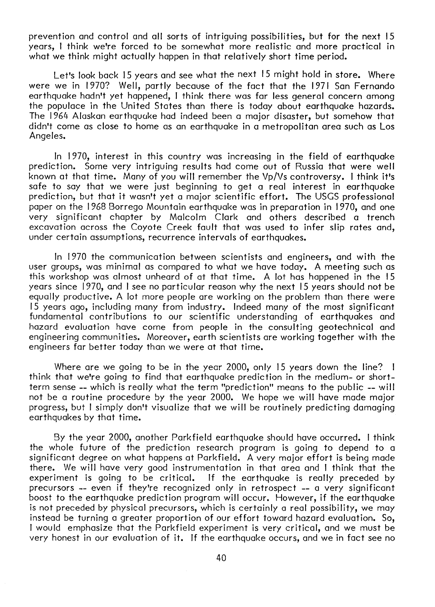prevention and control and all sorts of intriguing possibilities, but for the next 15 years, I think we're forced to be somewhat more realistic and more practical in what we think might actually happen in that relatively short time period.

Let's look back 15 years and see what the next 15 might hold in store. Where were we in 1970? Well, partly because of the fact that the 1971 San Fernando earthquake hadn't yet happened, I think there was far less general concern among the populace in the United States than there is today about earthquake hazards. The 1964 Alaskan earthquake had indeed been a major disaster, but somehow that didn't come as close to home as an earthquake in a metropolitan area such as Los Angeles.

In 1970, interest in this country was increasing in the field of earthquake prediction. Some very intriguing results had come out of Russia that were well known at that time. Many of you will remember the Vp/Vs controversy. I think it's safe to say that we were just beginning to get a real interest in earthquake prediction, but that it wasn't yet a major scientific effort. The USGS professional paper on the 1968 Borrego Mountain earthquake was in preparation in 1970, and one very significant chapter by Malcolm Clark and others described a trench excavation across the Coyote Creek fault that was used to infer slip rates and, under certain assumptions, recurrence intervals of earthquakes.

In 1970 the communication between scientists and engineers, and with the user groups, was minimal as compared to what we have today. A meeting such as this workshop was almost unheard of at that time. A lot has happened in the 15 years since 1970, and I see no particular reason why the next 15 years should not be equally productive. A lot more people are working on the problem than there were 15 years ago, including many from industry. Indeed many of the most significant fundamental contributions to our scientific understanding of earthquakes and hazard evaluation have come from people in the consulting geotechnical and engineering communities. Moreover, earth scientists are working together with the engineers far better today than we were at that time.

Where are we going to be in the year 2000, only 15 years down the line? I think that we're going to find that earthquake prediction in the medium- or shortterm sense -- which is really what the term "prediction" means to the public -- will not be a routine procedure by the year 2000. We hope we will have made major progress, but I simply don't visualize that we will be routinely predicting damaging earthquakes by that time.

By the year 2000, another Parkfield earthquake should have occurred. I think the whole future of the prediction research program is going to depend to a significant degree on what happens at Parkfield. A very major effort is being made there. We will have very good instrumentation in that area and I think that the experiment is going to be critical. If the earthquake is really preceded by If the earthquake is really preceded by precursors -- even if they're recognized only in retrospect -- a very significant boost to the earthquake prediction program will occur. However, if the earthquake is not preceded by physical precursors, which is certainly a real possibility, we may instead be turning a greater proportion of our effort toward hazard evaluation. So, I would emphasize that the Parkfield experiment is very critical, and we must be very honest in our evaluation of it. If the earthquake occurs, and we in fact see no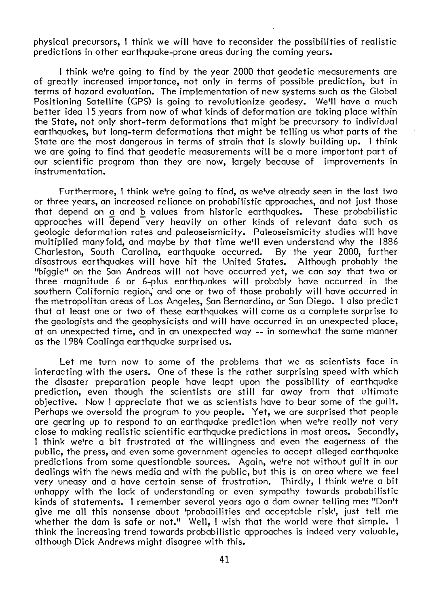physical precursors, I think we will have to reconsider the possibilities of realistic predictions in other earthquake-prone areas during the coming years.

I think we're going to find by the year 2000 that geodetic measurements are of greatly increased importance, not only in terms of possible prediction, but in terms of hazard evaluation. The implementation of new systems such as the Global Positioning Satellite (GPS) is going to revolutionize geodesy. We'll have a much better idea 15 years from now of what kinds of deformation are taking place within the State, not only short-term deformations that might be precursory to individual earthquakes, but long-term deformations that might be telling us what parts of the State are the most dangerous in terms of strain that is slowly building up. I think we are going to find that geodetic measurements will be a more important part of our scientific program than they are now, largely because of improvements in instrumentation.

Furthermore, I think we're going to find, as we've already seen in the last two or three years, an increased reliance on probabilistic approaches, and not just those that depend on a and b values from historic earthquakes. These probabilistic approaches will depend-very heavily on other kinds of relevant data such as geologic deformation rates and paleoseismicity. Paleoseismicity studies will have multiplied manyfold, and maybe by that time we'll even understand why the 1886 Charleston, South Carolina, earthquake occurred. By the year 2000, further disastrous earthquakes will have hit the United States. "biggie" on the San Andreas will not have occurred yet, we can say that two or three magnitude 6 or 6-plus earthquakes will probably have occurred in the southern California region; and one or two of those probably will have occurred in the metropolitan areas of Los Angeles, San Bernardino, or San Diego. I also predict that at least one or two of these earthquakes will come as a complete surprise to the geologists and the geophysicists and will have occurred in an unexpected place, at an unexpected time, and in an unexpected way -- in somewhat the same manner as the 1984 Coalinga earthquake surprised us.

Let me turn now to some of the problems that we as scientists face in interacting with the users. One of these is the rather surprising speed with which the disaster preparation people have leapt upon the possibility of earthquake prediction, even though the scientists are still far away from that ultimate objective. Now I appreciate that we as scientists have to bear some of the guilt. Perhaps we oversold the program to you people. Yet, we are surprised that people are gearing up to respond to an earthquake prediction when we're really not very close to making realistic scientific earthquake predictions in most areas. Secondly, I think we're a bit frustrated at the willingness and even the eagerness of the public, the press, and even some government agencies to accept alleged earthquake predictions from some questionable sources. Again, we're not without guilt in our dealings with the news media and with the public, but this is an area where we feel very uneasy and a have certain sense of frustration. Thirdly, I think we're a bit unhappy with the lack of understanding or even sympathy towards probabilistic kinds of statements. I remember several years ago a dam owner telling me: "Don't give me all this nonsense about 'probabilities and acceptable risk', just tell me whether the dam is safe or not." Well, I wish that the world were that simple. I think the increasing trend towards probabilistic approaches is indeed very valuable, although Dick Andrews might disagree with this.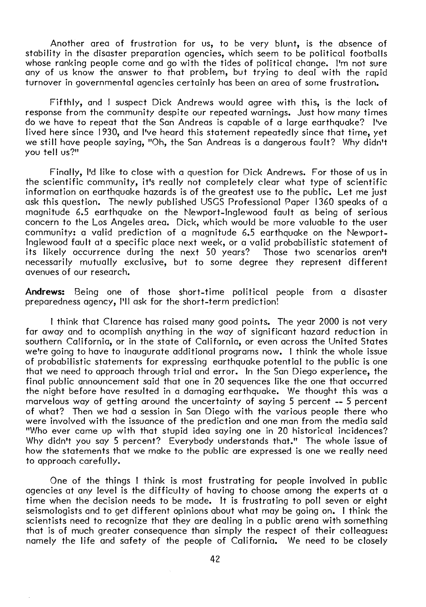Another area of frustration for us, to be very blunt, is the absence of stability in the disaster preparation agencies, which seem to be political footballs whose ranking people come and go with the tides of political change. I'm not sure any of us know the answer to that problem, but trying to deal with the rapid turnover in governmental agencies certainly has been an area of some frustration.

Fifthly, and I suspect Dick Andrews would agree with this, is the lack of response from the community despite our repeated warnings. Just how many times do we have to repeat that the San Andreas is capable of a large earthquake? I've lived here since 1930, and I've heard this statement repeatedly since that time, yet we still have people saying, "Oh, the San Andreas is a dangerous fault? Why didn't you tell us?"

Finally, I'd like to close with a question for Dick Andrews. For those of us in the scientific community, it's really not completely clear what type of scientific information on earthquake hazards is of the greatest use to the public. Let me just ask this question. The newly published USGS Professional Paper 1360 speaks of a magnitude 6.5 earthquake on the Newport-Inglewood fault as being of serious concern to the Los Angeles area. Dick, which would be more valuable to the user community: a valid prediction of a magnitude 6.5 earthquake on the Newportlnglewood fault at a specific place next week, or a valid probabilistic statement of its likely occurrence during the next 50 years? necessarily mutually exclusive, but to some degree they represent different avenues of our research.

**Andrews:** Being one of those short-time political people from a disaster preparedness agency, I'll ask for the short-term prediction!

I think that Clarence has raised many good points. The year 2000 is not very far away and to acomplish anything in the way of significant hazard reduction in southern California, or in the state of California, or even across the United States we're going to have to inaugurate additional programs now. I think the whole issue of probabilistic statements for expressing earthquake potential to the public is one that we need to approach through trial and error. In the San Diego experience, the final public announcement said that one in 20 sequences like the one that occurred the night before have resulted in a damaging earthquake. We thought this was a marvelous way of getting around the uncertainty of saying 5 percent -- 5 percent of what? Then we had a session in San Diego with the various people there who were involved with the issuance of the prediction and one man from the media said "Who ever came up with that stupid idea saying one in 20 historical incidences? Why didn't you say 5 percent? Everybody understands that." The whole issue of how the statements that we make to the public are expressed is one we really need to approach carefully.

One of the things I think is most frustrating for people involved in public agencies at any level is the difficulty of having to choose among the experts at a time when the decision needs to be made. It is frustrating to poll seven or eight seismologists and to get different opinions about what may be going on. I think the scientists need to recognize that they are dealing in a public arena with something that is of much greater consequence than simply the respect of their colleagues: namely the life and safety of the people of California. We need to be closely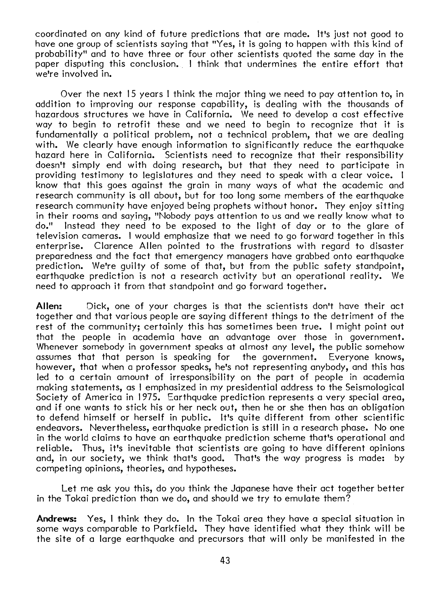coordinated on any kind of future predictions that are made. It's just not good to have one group of scientists saying that "Yes, it is going to happen with this kind of probability" and to have three or four other scientists quoted the same day in the paper disputing this conclusion. I think that undermines the entire effort that we're involved in.

Over the next 15 years I think the major thing we need to pay attention to, in addition to improving our response capability, is dealing with the thousands of hazardous structures we have in California. We need to develop a cost effective way to begin to retrofit these and we need to begin to recognize that it is fundamentally a political problem, not a technical problem, that we are dealing with. We clearly have enough information to significantly reduce the earthquake hazard here in California. Scientists need to recognize that their responsibility doesn't simply end with doing research, but that they need to participate in providing testimony to legislatures and they need to speak with a clear voice. I know that this goes against the grain in many ways of what the academic and research community is all about, but for too long some members of the earthquake research community have enjoyed being prophets without honor. They enjoy sitting in their rooms and saying, "Nobody pays attention to us and we really know what to Instead they need to be exposed to the light of day or to the glare of television cameras. I would emphasize that we need to go forward together in this enterprise. Clarence Allen pointed to the frustrations with regard to disaster preparedness and the fact that emergency managers have grabbed onto earthquake prediction. We're guilty of some of that, but from the public safety standpoint, earthquake prediction is not a research activity but an operational reality. We need to approach it from that standpoint and go forward together.

**Allen:** Oick, one of your charges is that the scientists don't have their act together and that various people are saying different things to the detriment of the rest of the community; certainly this has sometimes been true. I might point out that the people in academia have an advantage over those in government. Whenever somebody in government speaks at almost any level, the public somehow assumes that that person is speaking for the government. Everyone knows, however, that when a professor speaks, he's not representing anybody, and this has led to a certain amount of irresponsibility on the part of people in academia making statements, as I emphasized in my presidential address to the Seismological Society of America in 1975. Earthquake prediction represents a very special area, and if one wants to stick his or her neck out, then he or she then has an obligation to defend himself or herself in public. It's quite different from other scientific endeavors. Nevertheless, earthquake prediction is still in a research phase. No one in the world claims to have an earthquake prediction scheme that's operational and reliable. Thus, it's inevitable that scientists are going to have different opinions and, in our society, we think that's good. That's the way progress is made: by competing opinions, theories, and hypotheses.

Let me ask you this, do you think the Jdpanese have their act together better in the Tokai prediction than we do, and should we try to emulate them?

**Andrews:** Yes, I think they do. In the Tokai area they have a special situation in some ways comparable to Parkfield. They have identified what they think will be the site of a large earthquake and precursors that will only be manifested in the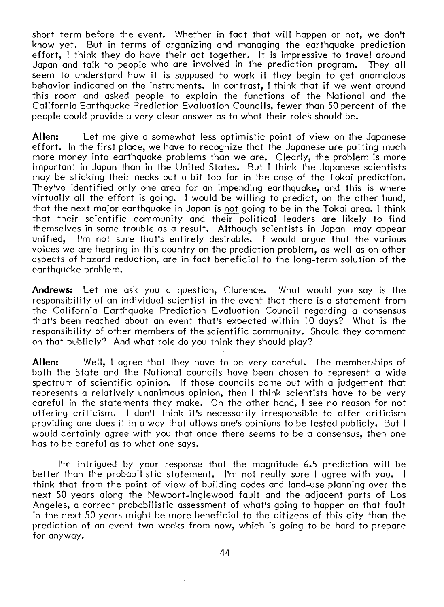short term before the event. 'Nhether in fact that will happen or not, we don't know yet. But in terms of organizing and managing the earthquake prediction effort, I think they do have their act together. It is impressive to travel around Japan and talk to people who are involved in the prediction program. They all seem to understand how it is supposed to work if they begin to get anomalous behavior indicated on the instruments. In contrast, I think that if we went around this room and asked people to explain the functions of the National and the California Earthquake Prediction Evaluation Councils, fewer than 50 percent of the people could provide a very clear answer as to what their roles should be.

**Allen:** Let me give a somewhat less optimistic point of view on the Japanese effort. In the first place, we have to recognize that the Japanese are putting much more money into earthquake problems than we are. Clearly, the problem is more important in Japan than in the United States. 8ut I think the Japanese scientists may be sticking their necks out a bit too far in the case of the Tokai prediction. They've identified only one area for an impending earthquake, and this is where virtually all the effort is going. I would be willing to predict, on the other hand, that the next major earthquake in Japan is not going to be in the Tokai area. I think that their scientific community and their political leaders are likely to find themselves in some trouble as a result. Although scientists in Japan may appear I'm not sure that's entirely desirable. I would argue that the various voices we are hearing in this country on the prediction problem, as well as on other aspects of hazard reduction, are in fact beneficial to the long-term solution of the earthquake problem.

**Andrews:** Let me ask you a question, Clarence. What would you say is the responsibility of an individual scientist in the event that there is a statement from the California Earthquake Prediction Evaluation Council regarding a consensus that's been reached about an event that's expected within I 0 days? What is the responsibility of other members of the scientific community. Should they comment on that publicly? And what role do you think they should play?

**Allen:** Well, I agree that they have to be very careful. The memberships of both the State and the National councils have been chosen to represent a wide spectrum of scientific opinion. If those councils come out with a judgement that represents a relatively unanimous opinion, then I think scientists have to be very careful in the statements they make. On the other hand, I see no reason for not offering criticism. I don't think it's necessarily irresponsible to offer criticism providing one does it in a way that allows one's opinions to be tested publicly. But I would certainly agree with you that once there seems to be a consensus, then one has to be careful as to what one says.

I'm intrigued by your response that the magnitude 6.5 prediction will be better than the probabilistic statement. I'm not really sure I agree with you. I think that from the point of view of building codes and land-use planning over the next 50 years along the Newport-Inglewood fault and the adjacent parts of Los Angeles, a correct probabilistic assessment of what's going to happen on that fault in the next 50 years might be more beneficial to the citizens of this city than the prediction of an event two weeks from now, which is going to be hard to prepare for anyway.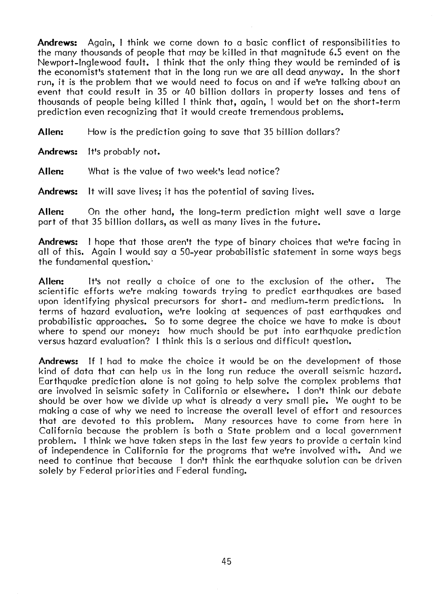**Andrews:** Again, I think we come down to a basic conflict of responsibilities to the many thousands of people that may be killed in that magnitude 6.5 event on the Newport-Inglewood fault. I think that the only thing they would be reminded of is the economist's statement that in the long run we are all dead anyway. In the short run, it is the problem that we would need to focus on and if we're talking about an event that could result in 35 or 40 billion dollars in property losses and tens of thousands of people being killed I think that, again, I would bet on the short-term prediction even recognizing that it would create tremendous problems.

**Allen:** How is the prediction going to save that 35 billion dollars?

**Andrews:** It's probably not.

**Allen:** What is the value of two week's lead notice?

**Andrews:** It will save lives; it has the potential of saving lives.

**Allen:** On the other hand, the long-term prediction might well save a large part of that 35 billion dollars, as well as many lives in the future.

**Andrews:** I hope that those aren't the type of binary choices that we're facing in all of this. Again I would say a SO-year probabilistic statement in some ways begs the fundamental question.'

**Allen:** It's not really a choice of one to the exclusion of the other. The scientific efforts we're making towards trying to predict earthquakes are based upon identifying physical precursors for short- and medium-term predictions. In terms of hazard evaluation, we're looking at sequences of past earthquakes and probabilistic approaches. So to some degree the choice we have to make is about where to spend our money: how much should be put into earthquake prediction versus hazard evaluation? I think this is a serious and difficult question.

**Andrews:** If I had to make the choice it would be on the development of those kind of data that can help us in the long run reduce the overall seismic hazard. Earthquake prediction alone is not going to help solve the complex problems that are involved in seismic safety in California or elsewhere. I don't think our debate should be over how we divide up what is already a very small pie. We ought to be making a case of why we need to increase the overall level of effort and resources that are devoted to this problem. Many resources have to come from here in California because the problem is both a State problem and a local government problem. I think we have taken steps in the last few years to provide a certain kind of independence in California for the programs that we're involved with. And we need to continue that because I don't think the earthquake solution can be driven solely by Federal priorities and Federal funding.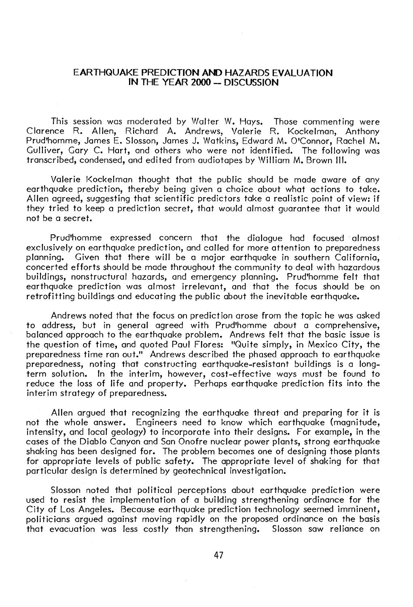## **EARTHQUAKE PREDICTION AND HAZARDS EVALUATION IN THE YEAR 2000 - DISCUSSION**

This session was moderated by Walter W. Hays. Those commenting were Clarence R. Allen, Richard A. Andrews, Valerie R. Kockelman, Anthony Prud'homme, James E. Slosson, James J. Watkins, Edward M. O'Connor, Rachel M. Gulliver, Gary C. Hart, and others who were not identified. The following was transcribed, condensed, and edited from audiotapes by William M. Brown Ill.

Valerie Kockelman thought that the public should be made aware of any earthquake prediction, thereby being given a choice about what actions to take. Allen agreed, suggesting that scientific predictors take a realistic point of view: if they tried to keep a prediction secret, that would almost guarantee that it would not be a secret.

Prud'homme expressed concern that the dialogue had focused almost exclusively on earthquake prediction, and called for more attention to preparedness planning. Given that there will be a major earthquake in southern California, concerted efforts should be made throughout the community to deal with hazardous buildings, nonstructural hazards, and emergency planning. Prud'homme felt that earthquake prediction was almost irrelevant, and that the focus should be on retrofitting buildings and educating the public about the inevitable earthquake.

Andrews noted that the focus on prediction arose from the topic he was asked to address, but in general agreed with Prud'homme about a comprehensive, balanced approach to the earthquake problem. Andrews felt that the basic issue is the question of time, and quoted Paul Flores: "Quite simply, in Mexico City, the preparedness time ran out." Andrews described the phased approach to earthquake preparedness, noting that constructing earthquake-resistant buildings is a longterm solution. In the interim, however, cost-effective ways must be found to reduce the loss of life and property. Perhaps earthquake prediction fits into the interim strategy of preparedness.

Allen argued that recognizing the earthquake threat and preparing for it is not the whole answer. Engineers need to know which earthquake (magnitude, intensity, and local geology) to incorporate into their designs. For example, in the cases of the Diablo Canyon and San Onofre nuclear power plants, strong earthquake shaking has been designed for. The problem becomes one of designing those plants for appropriate levels of public safety. The appropriate level of shaking for that particular design is determined by geotechnical investigation.

Slosson noted that political perceptions about earthquake prediction were used to resist the implementation of a building strengthening ordinance for the City of Los Angeles. Because earthquake prediction technology seemed imminent, politicians argued against moving rapidly on the proposed ordinance on the basis that evacuation was less costly than strengthening. Slosson saw reliance on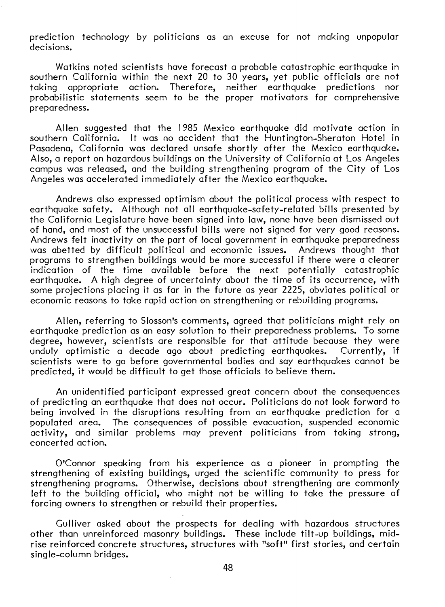prediction technology by politicians as an excuse for not making unpopular decisions.

Watkins noted scientists have forecast a probable catastrophic earthquake in southern California within the next 20 to 30 years, yet public officials are not taking appropriate action. Therefore, neither earthquake predictions nor probabilistic statements seem to be the proper motivators for comprehensive preparedness.

Allen suggested that the 1985 Mexico earthquake did motivate action in southern California. It was no accident that the Huntington-Sheraton Hotel in Pasadena, California was declared unsafe shortly after the Mexico earthquake. Also, a report on hazardous buildings on the University of California at Los Angeles campus was released, and the building strengthening program of the City of Los Angeles was accelerated immediately after the Mexico earthquake.

Andrews also expressed optimism about the political process with respect to earthquake safety. Although not all earthquake-safety-related bills presented by the California Legislature have been signed into law, none have been dismissed out of hand, and most of the unsuccessful bills were not signed for very good reasons. Andrews felt inactivity on the part of local government in earthquake preparedness was abetted by difficult political and economic issues. Andrews thought that programs to strengthen buildings would be more successful if there were a clearer indication of the time available before the next potentially catastrophic earthquake. A high degree of uncertainty about the time of its occurrence, with some projections placing it as far in the future as year 2225, obviates political or economic reasons to take rapid action on strengthening or rebuilding programs.

Allen, referring to Slosson's comments, agreed that politicians might rely on earthquake prediction as an easy solution to their preparedness problems. To some degree, however, scientists are responsible for that attitude because they were unduly optimistic a decade ago about predicting earthquakes. Currently, if scientists were to go before governmental bodies and say earthquakes cannot be predicted, it would be difficult to get those officials to believe them.

An unidentified participant expressed great concern about the consequences of predicting an earthquake that does not occur. Politicians do not look forward to being involved in the disruptions resulting from an earthquake prediction for a populated area. The consequences of possible evacuation, suspended economic activity, and similar problems may prevent politicians from taking strong, concerted action.

O'Connor speaking from his experience as a pioneer in prompting the strengthening of existing buildings, urged the scientific community to press for strengthening programs. Otherwise, decisions about strengthening are commonly left to the building official, who might not be willing to take the pressure of forcing owners to strengthen or rebuild their properties.

Gulliver asked about the prospects for dealing with hazardous structures other than unreinforced masonry buildings. These include tilt-up buildings, midrise reinforced concrete structures, structures with "soft" first stories, and certain single-column bridges.